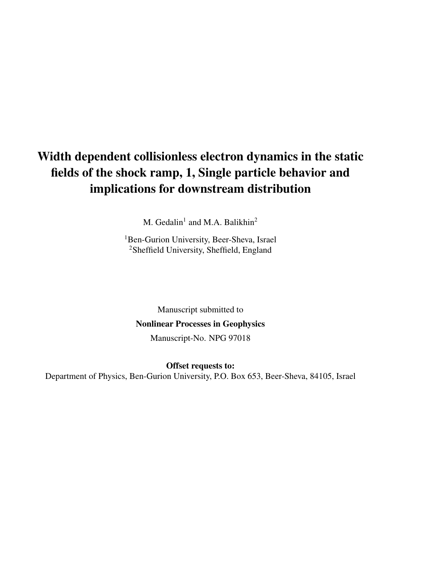# Width dependent collisionless electron dynamics in the static fields of the shock ramp, 1, Single particle behavior and implications for downstream distribution

M. Gedalin<sup>1</sup> and M.A. Balikhin<sup>2</sup>

<sup>1</sup>Ben-Gurion University, Beer-Sheva, Israel <sup>2</sup>Sheffield University, Sheffield, England

Manuscript submitted to Nonlinear Processes in Geophysics Manuscript-No. NPG 97018

Offset requests to: Department of Physics, Ben-Gurion University, P.O. Box 653, Beer-Sheva, 84105, Israel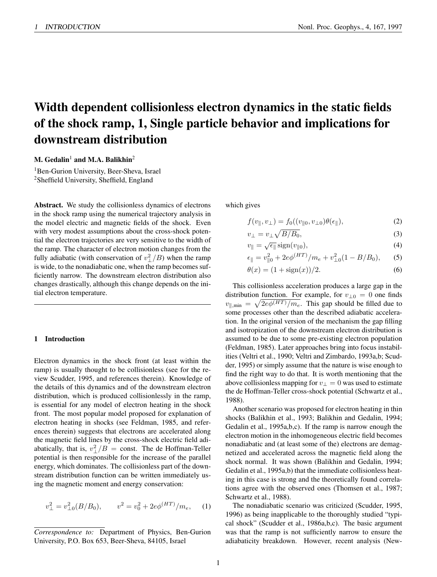# Width dependent collisionless electron dynamics in the static fields of the shock ramp, 1, Single particle behavior and implications for downstream distribution

M. Gedalin<sup>1</sup> and M.A. Balikhin<sup>2</sup>

<sup>1</sup>Ben-Gurion University, Beer-Sheva, Israel <sup>2</sup>Sheffield University, Sheffield, England

Abstract. We study the collisionless dynamics of electrons in the shock ramp using the numerical trajectory analysis in the model electric and magnetic fields of the shock. Even with very modest assumptions about the cross-shock potential the electron trajectories are very sensitive to the width of the ramp. The character of electron motion changes from the fully adiabatic (with conservation of  $v_{\perp}^2/B$ ) when the ramp is wide, to the nonadiabatic one, when the ramp becomes sufficiently narrow. The downstream electron distribution also changes drastically, although this change depends on the initial electron temperature.

## 1 Introduction

Electron dynamics in the shock front (at least within the ramp) is usually thought to be collisionless (see for the review Scudder, 1995, and references therein). Knowledge of the details of this dynamics and of the downstream electron distribution, which is produced collisionlessly in the ramp, is essential for any model of electron heating in the shock front. The most popular model proposed for explanation of electron heating in shocks (see Feldman, 1985, and references therein) suggests that electrons are accelerated along the magnetic field lines by the cross-shock electric field adiabatically, that is,  $v_{\perp}^2/B = \text{const.}$  The de Hoffman-Teller potential is then responsible for the increase of the parallel energy, which dominates. The collisionless part of the downstream distribution function can be written immediately using the magnetic moment and energy conservation:

$$
v_{\perp}^2 = v_{\perp 0}^2 (B/B_0), \qquad v^2 = v_0^2 + 2e\phi^{(HT)}/m_e, \qquad (1)
$$

which gives

 $\overline{v}$ 

$$
f(v_{\parallel}, v_{\perp}) = f_0((v_{\parallel 0}, v_{\perp 0})\theta(\epsilon_{\parallel}), \qquad (2)
$$

$$
u_{\perp} = v_{\perp} \sqrt{B/B_0},\tag{3}
$$

$$
v_{\parallel} = \sqrt{\epsilon_{\parallel}} \operatorname{sign}(v_{\parallel 0}), \tag{4}
$$

$$
\epsilon_{\parallel} = v_{\parallel 0}^2 + 2e\phi^{(HT)}/m_e + v_{\perp 0}^2(1 - B/B_0),
$$
 (5)

$$
\theta(x) = (1 + \text{sign}(x))/2. \tag{6}
$$

This collisionless acceleration produces a large gap in the distribution function. For example, for  $v_{\perp 0} = 0$  one finds  $v_{\parallel,\text{min}} = \sqrt{2e\phi^{(HT)}/m_e}$ . This gap should be filled due to some processes other than the described adiabatic acceleration. In the original version of the mechanism the gap filling and isotropization of the downstream electron distribution is assumed to be due to some pre-existing electron population (Feldman, 1985). Later approaches bring into focus instabilities (Veltri et al., 1990; Veltri and Zimbardo, 1993a,b; Scudder, 1995) or simply assume that the nature is wise enough to find the right way to do that. It is worth mentioning that the above collisionless mapping for  $v_{\perp} = 0$  was used to estimate the de Hoffman-Teller cross-shock potential (Schwartz et al., 1988).

Another scenario was proposed for electron heating in thin shocks (Balikhin et al., 1993; Balikhin and Gedalin, 1994; Gedalin et al., 1995a,b,c). If the ramp is narrow enough the electron motion in the inhomogeneous electric field becomes nonadiabatic and (at least some of the) electrons are demagnetized and accelerated across the magnetic field along the shock normal. It was shown (Balikhin and Gedalin, 1994; Gedalin et al., 1995a,b) that the immediate collisionless heating in this case is strong and the theoretically found correlations agree with the observed ones (Thomsen et al., 1987; Schwartz et al., 1988).

The nonadiabatic scenario was criticized (Scudder, 1995, 1996) as being inapplicable to the thoroughly studied "typical shock" (Scudder et al., 1986a,b,c). The basic argument was that the ramp is not sufficiently narrow to ensure the adiabaticity breakdown. However, recent analysis (New-

*Correspondence to:* Department of Physics, Ben-Gurion University, P.O. Box 653, Beer-Sheva, 84105, Israel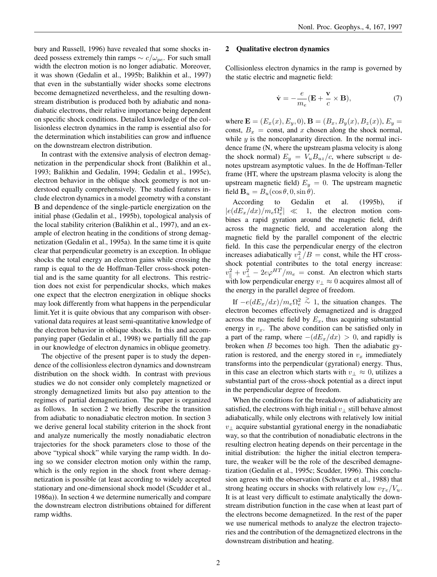bury and Russell, 1996) have revealed that some shocks indeed possess extremely thin ramps  $\sim c/\omega_{pe}$ . For such small width the electron motion is no longer adiabatic. Moreover, it was shown (Gedalin et al., 1995b; Balikhin et al., 1997) that even in the substantially wider shocks some electrons become demagnetized nevertheless, and the resulting downstream distribution is produced both by adiabatic and nonadiabatic electrons, their relative importance being dependent on specific shock conditions. Detailed knowledge of the collisionless electron dynamics in the ramp is essential also for the determination which instabilities can grow and influence on the downstream electron distribution.

In contrast with the extensive analysis of electron demagnetization in the perpendicular shock front (Balikhin et al., 1993; Balikhin and Gedalin, 1994; Gedalin et al., 1995c), electron behavior in the oblique shock geometry is not understood equally comprehensively. The studied features include electron dynamics in a model geometry with a constant B and dependence of the single-particle energization on the initial phase (Gedalin et al., 1995b), topological analysis of the local stability criterion (Balikhin et al., 1997), and an example of electron heating in the conditions of strong demagnetization (Gedalin et al., 1995a). In the same time it is quite clear that perpendicular geometry is an exception. In oblique shocks the total energy an electron gains while crossing the ramp is equal to the de Hoffman-Teller cross-shock potential and is the same quantity for all electrons. This restriction does not exist for perpendicular shocks, which makes one expect that the electron energization in oblique shocks may look differently from what happens in the perpendicular limit.Yet it is quite obvious that any comparison with observational data requires at least semi-quantitative knowledge of the electron behavior in oblique shocks. In this and accompanying paper (Gedalin et al., 1998) we partially fill the gap in our knowledge of electron dynamics in oblique geometry.

The objective of the present paper is to study the dependence of the collisionless electron dynamics and downstream distribution on the shock width. In contrast with previous studies we do not consider only completely magnetized or strongly demagnetized limits but also pay attention to the regimes of partial demagnetization. The paper is organized as follows. In section 2 we briefly describe the transition from adiabatic to nonadiabatic electron motion. In section 3 we derive general local stability criterion in the shock front and analyze numerically the mostly nonadiabatic electron trajectories for the shock parameters close to those of the above "typical shock" while varying the ramp width. In doing so we consider electron motion only within the ramp, which is the only region in the shock front where demagnetization is possible (at least according to widely accepted stationary and one-dimensional shock model (Scudder et al., 1986a)). In section 4 we determine numerically and compare the downstream electron distributions obtained for different ramp widths.

### 2 Qualitative electron dynamics

Collisionless electron dynamics in the ramp is governed by the static electric and magnetic field:

$$
\dot{\mathbf{v}} = -\frac{e}{m_e} (\mathbf{E} + \frac{\mathbf{v}}{c} \times \mathbf{B}),\tag{7}
$$

where  $\mathbf{E} = (E_x(x), E_y, 0), \mathbf{B} = (B_x, B_y(x), B_z(x)), E_y =$ const,  $B_x = \text{const}$ , and x chosen along the shock normal, while  $y$  is the noncoplanarity direction. In the normal incidence frame (N, where the upstream plasma velocity is along the shock normal)  $E_y = V_u B_{uz}/c$ , where subscript u denotes upstream asymptotic values. In the de Hoffman-Teller frame (HT, where the upstream plasma velocity is along the upstream magnetic field)  $E_y = 0$ . The upstream magnetic field  $\mathbf{B}_u = B_u(\cos \theta, 0, \sin \theta)$ .

According to Gedalin et al. (1995b), if  $|e(dE_x/dx)/m_e\Omega_e^2| \ll 1$ , the electron motion combines a rapid gyration around the magnetic field, drift across the magnetic field, and acceleration along the magnetic field by the parallel component of the electric field. In this case the perpendicular energy of the electron increases adiabatically  $v_{\perp}^2/B = \text{const}$ , while the HT crossshock potential contributes to the total energy increase:  $v_{\parallel}^2 + v_{\perp}^2 - 2e\varphi^{HT}/m_e = \text{const.}$  An electron which starts with low perpendicular energy  $v_\perp \approx 0$  acquires almost all of the energy in the parallel degree of freedom.

If  $-e(dE_x/dx)/m_e\Omega_e^2 \stackrel{>}{\sim} 1$ , the situation changes. The electron becomes effectively demagnetized and is dragged across the magnetic field by  $E_x$ , thus acquiring substantial energy in  $v_x$ . The above condition can be satisfied only in a part of the ramp, where  $-(dE_x/dx) > 0$ , and rapidly is broken when  $B$  becomes too high. Then the adiabatic gyration is restored, and the energy stored in  $v_x$  immediately transforms into the perpendicular (gyrational) energy. Thus, in this case an electron which starts with  $v_\perp \approx 0$ , utilizes a substantial part of the cross-shock potential as a direct input in the perpendicular degree of freedom.

When the conditions for the breakdown of adiabaticity are satisfied, the electrons with high initial  $v_{\perp}$  still behave almost adiabatically, while only electrons with relatively low initial  $v_{\perp}$  acquire substantial gyrational energy in the nonadiabatic way, so that the contribution of nonadiabatic electrons in the resulting electron heating depends on their percentage in the initial distribution: the higher the initial electron temperature, the weaker will be the role of the described demagnetization (Gedalin et al., 1995c; Scudder, 1996). This conclusion agrees with the observation (Schwartz et al., 1988) that strong heating occurs in shocks with relatively low  $v_{Te}/V_u$ . It is at least very difficult to estimate analytically the downstream distribution function in the case when at least part of the electrons become demagnetized. In the rest of the paper we use numerical methods to analyze the electron trajectories and the contribution of the demagnetized electrons in the downstream distribution and heating.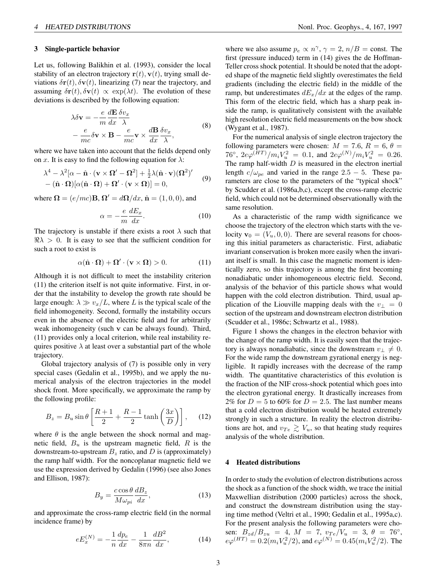#### 3 Single-particle behavior

Let us, following Balikhin et al. (1993), consider the local stability of an electron trajectory  $r(t)$ ,  $v(t)$ , trying small deviations  $\delta \mathbf{r}(t)$ ,  $\delta \mathbf{v}(t)$ , linearizing (7) near the trajectory, and assuming  $\delta \mathbf{r}(t)$ ,  $\delta \mathbf{v}(t) \propto \exp(\lambda t)$ . The evolution of these deviations is described by the following equation:

$$
\lambda \delta \mathbf{v} = -\frac{e}{m} \frac{d\mathbf{E}}{dx} \frac{\delta v_x}{\lambda} \n- \frac{e}{mc} \delta \mathbf{v} \times \mathbf{B} - \frac{e}{mc} \mathbf{v} \times \frac{d\mathbf{B}}{dx} \frac{\delta v_x}{\lambda},
$$
\n(8)

where we have taken into account that the fields depend only on x. It is easy to find the following equation for  $\lambda$ :

$$
\lambda^4 - \lambda^2 [\alpha - \hat{\mathbf{n}} \cdot (\mathbf{v} \times \mathbf{\Omega}' - \mathbf{\Omega}^2] + \frac{1}{2} \lambda (\hat{\mathbf{n}} \cdot \mathbf{v}) (\mathbf{\Omega}^2)'
$$
  
–  $(\hat{\mathbf{n}} \cdot \mathbf{\Omega}) [\alpha (\hat{\mathbf{n}} \cdot \mathbf{\Omega}) + \mathbf{\Omega}' \cdot (\mathbf{v} \times \mathbf{\Omega})] = 0,$  (9)

where  $\mathbf{\Omega} = (e/mc)\mathbf{B}$ ,  $\mathbf{\Omega}' = d\mathbf{\Omega}/dx$ ,  $\hat{\mathbf{n}} = (1,0,0)$ , and

$$
\alpha = -\frac{e}{m} \frac{dE_x}{dx}.
$$
\n(10)

The trajectory is unstable if there exists a root  $\lambda$  such that  $\Re\lambda > 0$ . It is easy to see that the sufficient condition for such a root to exist is

$$
\alpha(\hat{\mathbf{n}} \cdot \mathbf{\Omega}) + \mathbf{\Omega}' \cdot (\mathbf{v} \times \mathbf{\Omega}) > 0. \tag{11}
$$

Although it is not difficult to meet the instability criterion (11) the criterion itself is not quite informative. First, in order that the instability to develop the growth rate should be large enough:  $\lambda \gg v_x/L$ , where L is the typical scale of the field inhomogeneity. Second, formally the instability occurs even in the absence of the electric field and for arbitrarily weak inhomogeneity (such v can be always found). Third, (11) provides only a local criterion, while real instability requires positive  $\lambda$  at least over a substantial part of the whole trajectory.

Global trajectory analysis of (7) is possible only in very special cases (Gedalin et al., 1995b), and we apply the numerical analysis of the electron trajectories in the model shock front. More specifically, we approximate the ramp by the following profile:

$$
B_z = B_u \sin \theta \left[ \frac{R+1}{2} + \frac{R-1}{2} \tanh \left( \frac{3x}{D} \right) \right], \quad (12)
$$

where  $\theta$  is the angle between the shock normal and magnetic field,  $B_u$  is the upstream magnetic field,  $R$  is the downstream-to-upstream  $B_z$  ratio, and  $D$  is (approximately) the ramp half width. For the noncoplanar magnetic field we use the expression derived by Gedalin (1996) (see also Jones and Ellison, 1987):

$$
B_y = \frac{c \cos \theta}{M \omega_{pi}} \frac{dB_z}{dx},\tag{13}
$$

and approximate the cross-ramp electric field (in the normal incidence frame) by

$$
eE_x^{(N)} = -\frac{1}{n}\frac{dp_e}{dx} - \frac{1}{8\pi n}\frac{dB^2}{dx},\tag{14}
$$

where we also assume  $p_e \propto n^{\gamma}$ ,  $\gamma = 2$ ,  $n/B = \text{const.}$  The first (pressure induced) term in (14) gives the de Hoffman-Teller cross shock potential. It should be noted that the adopted shape of the magnetic field slightly overestimates the field gradients (including the electric field) in the middle of the ramp, but underestimates  $dE_x/dx$  at the edges of the ramp. This form of the electric field, which has a sharp peak inside the ramp, is qualitatively consistent with the available high resolution electric field measurements on the bow shock (Wygant et al., 1987).

For the numerical analysis of single electron trajectory the following parameters were chosen:  $M = 7.6$ ,  $R = 6$ ,  $\theta =$ 76°,  $2e\varphi^{(HT)}/m_iV_u^2 = 0.1$ , and  $2e\varphi^{(N)}/m_iV_u^2 = 0.26$ . The ramp half-width  $D$  is measured in the electron inertial length  $c/\omega_{pe}$  and varied in the range 2.5 − 5. These parameters are close to the parameters of the "typical shock" by Scudder et al. (1986a,b,c), except the cross-ramp electric field, which could not be determined observationally with the same resolution.

As a characteristic of the ramp width significance we choose the trajectory of the electron which starts with the velocity  $\mathbf{v}_0 = (V_u, 0, 0)$ . There are several reasons for choosing this initial parameters as characteristic. First, adiabatic invariant conservation is broken more easily when the invariant itself is small. In this case the magnetic moment is identically zero, so this trajectory is among the first becoming nonadiabatic under inhomogeneous electric field. Second, analysis of the behavior of this particle shows what would happen with the cold electron distribution. Third, usual application of the Liouville mapping deals with the  $v_{\perp} = 0$ section of the upstream and downstream electron distribution (Scudder et al., 1986c; Schwartz et al., 1988).

Figure 1 shows the changes in the electron behavior with the change of the ramp width. It is easily seen that the trajectory is always nonadiabatic, since the downstream  $v_{\perp} \neq 0$ . For the wide ramp the downstream gyrational energy is negligible. It rapidly increases with the decrease of the ramp width. The quantitative characteristics of this evolution is the fraction of the NIF cross-shock potential which goes into the electron gyrational energy. It drastically increases from 2% for  $D = 5$  to 60% for  $D = 2.5$ . The last number means that a cold electron distribution would be heated extremely strongly in such a structure. In reality the electron distributions are hot, and  $v_{Te} \gtrsim V_u$ , so that heating study requires analysis of the whole distribution.

### 4 Heated distributions

In order to study the evolution of electron distributions across the shock as a function of the shock width, we trace the initial Maxwellian distribution (2000 particles) across the shock, and construct the downstream distribution using the staying time method (Veltri et al., 1990; Gedalin et al., 1995a,c). For the present analysis the following parameters were chosen:  $B_{zd}/B_{zu} = 4$ ,  $M = 7$ ,  $v_{Te}/V_u = 3$ ,  $\theta = 76^\circ$ ,  $e\varphi^{(HT)} = 0.2(m_i V_u^2/2)$ , and  $e\varphi^{(N)} = 0.45(m_i V_u^2/2)$ . The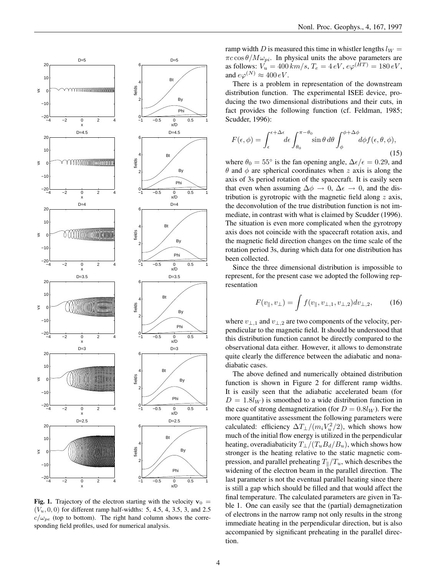

Fig. 1. Trajectory of the electron starting with the velocity  $v_0 =$  $(V_u, 0, 0)$  for different ramp half-widths: 5, 4.5, 4, 3.5, 3, and 2.5  $c/\omega_{pe}$  (top to bottom). The right hand column shows the corresponding field profiles, used for numerical analysis.

ramp width D is measured this time in whistler lengths  $l_W =$  $\pi c \cos \theta / M \omega_{pi}$ . In physical units the above parameters are as follows:  $V_u = 400 \, km/s$ ,  $T_e = 4 \, eV$ ,  $e\varphi^{(HT)} = 180 \, eV$ , and  $e\varphi^{(N)} \approx 400 \, eV$ .

There is a problem in representation of the downstream distribution function. The experimental ISEE device, producing the two dimensional distributions and their cuts, in fact provides the following function (cf. Feldman, 1985; Scudder, 1996):

$$
F(\epsilon,\phi) = \int_{\epsilon}^{\epsilon+\Delta\epsilon} d\epsilon \int_{\theta_0}^{\pi-\theta_0} \sin\theta \,d\theta \int_{\phi}^{\phi+\Delta\phi} d\phi f(\epsilon,\theta,\phi),\tag{15}
$$

where  $\theta_0 = 55^\circ$  is the fan opening angle,  $\Delta \epsilon / \epsilon = 0.29$ , and  $θ$  and  $φ$  are spherical coordinates when *z* axis is along the axis of 3s period rotation of the spacecraft. It is easily seen that even when assuming  $\Delta \phi \rightarrow 0$ ,  $\Delta \epsilon \rightarrow 0$ , and the distribution is gyrotropic with the magnetic field along  $z$  axis, the deconvolution of the true distribution function is not immediate, in contrast with what is claimed by Scudder (1996). The situation is even more complicated when the gyrotropy axis does not coincide with the spacecraft rotation axis, and the magnetic field direction changes on the time scale of the rotation period 3s, during which data for one distribution has been collected.

Since the three dimensional distribution is impossible to represent, for the present case we adopted the following representation

$$
F(v_{\parallel}, v_{\perp}) = \int f(v_{\parallel}, v_{\perp,1}, v_{\perp,2}) dv_{\perp,2}, \quad (16)
$$

where  $v_{\perp,1}$  and  $v_{\perp,2}$  are two components of the velocity, perpendicular to the magnetic field. It should be understood that this distribution function cannot be directly compared to the observational data either. However, it allows to demonstrate quite clearly the difference between the adiabatic and nonadiabatic cases.

The above defined and numerically obtained distribution function is shown in Figure 2 for different ramp widths. It is easily seen that the adiabatic accelerated beam (for  $D = 1.8l_W$ ) is smoothed to a wide distribution function in the case of strong demagnetization (for  $D = 0.8l_W$ ). For the more quantitative assessment the following parameters were calculated: efficiency  $\Delta T_{\perp}/(m_i V_u^2/2)$ , which shows how much of the initial flow energy is utilized in the perpendicular heating, overadiabaticity  $T_{\perp}/(T_u B_d/B_u)$ , which shows how stronger is the heating relative to the static magnetic compression, and parallel preheating  $T_{\parallel}/T_u$ , which describes the widening of the electron beam in the parallel direction. The last parameter is not the eventual parallel heating since there is still a gap which should be filled and that would affect the final temperature. The calculated parameters are given in Table 1. One can easily see that the (partial) demagnetization of electrons in the narrow ramp not only results in the strong immediate heating in the perpendicular direction, but is also accompanied by significant preheating in the parallel direction.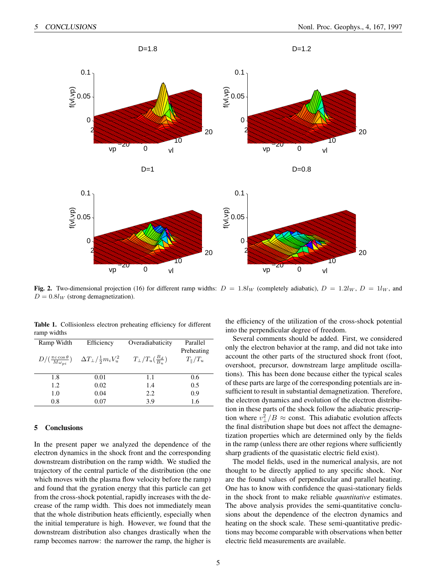

Fig. 2. Two-dimensional projection (16) for different ramp widths:  $D = 1.8l_W$  (completely adiabatic),  $D = 1.2l_W$ ,  $D = 1l_W$ , and  $D = 0.8l_W$  (strong demagnetization).

|             | <b>Table 1.</b> Collisionless electron preheating efficiency for different |  |  |  |
|-------------|----------------------------------------------------------------------------|--|--|--|
| ramp widths |                                                                            |  |  |  |

| Ramp Width                                    | Efficiency                             | Overadiabaticity                 | Parallel            |
|-----------------------------------------------|----------------------------------------|----------------------------------|---------------------|
|                                               |                                        |                                  | Preheating          |
| $D/(\frac{\pi c \cos \theta}{M \omega_{ni}})$ | $\Delta T_{\perp}/\frac{1}{2}m_iV_u^2$ | $T_{\perp}/T_u(\frac{B_d}{B_u})$ | $T_{\parallel}/T_u$ |
|                                               |                                        |                                  |                     |
| 1.8                                           | 0.01                                   | 1.1                              | 0.6                 |
| 1.2                                           | 0.02                                   | 1.4                              | 0.5                 |
| 1.0                                           | 0.04                                   | 2.2                              | 0.9                 |
| 0.8                                           | 0.07                                   | 3.9                              | 1.6                 |

## 5 Conclusions

In the present paper we analyzed the dependence of the electron dynamics in the shock front and the corresponding downstream distribution on the ramp width. We studied the trajectory of the central particle of the distribution (the one which moves with the plasma flow velocity before the ramp) and found that the gyration energy that this particle can get from the cross-shock potential, rapidly increases with the decrease of the ramp width. This does not immediately mean that the whole distribution heats efficiently, especially when the initial temperature is high. However, we found that the downstream distribution also changes drastically when the ramp becomes narrow: the narrower the ramp, the higher is the efficiency of the utilization of the cross-shock potential into the perpendicular degree of freedom.

Several comments should be added. First, we considered only the electron behavior at the ramp, and did not take into account the other parts of the structured shock front (foot, overshoot, precursor, downstream large amplitude oscillations). This has been done because either the typical scales of these parts are large of the corresponding potentials are insufficient to result in substantial demagnetization. Therefore, the electron dynamics and evolution of the electron distribution in these parts of the shock follow the adiabatic prescription where  $v_{\perp}^2/B \approx$  const. This adiabatic evolution affects the final distribution shape but does not affect the demagnetization properties which are determined only by the fields in the ramp (unless there are other regions where sufficiently sharp gradients of the quasistatic electric field exist).

The model fields, used in the numerical analysis, are not thought to be directly applied to any specific shock. Nor are the found values of perpendicular and parallel heating. One has to know with confidence the quasi-stationary fields in the shock front to make reliable *quantitative* estimates. The above analysis provides the semi-quantitative conclusions about the dependence of the electron dynamics and heating on the shock scale. These semi-quantitative predictions may become comparable with observations when better electric field measurements are available.